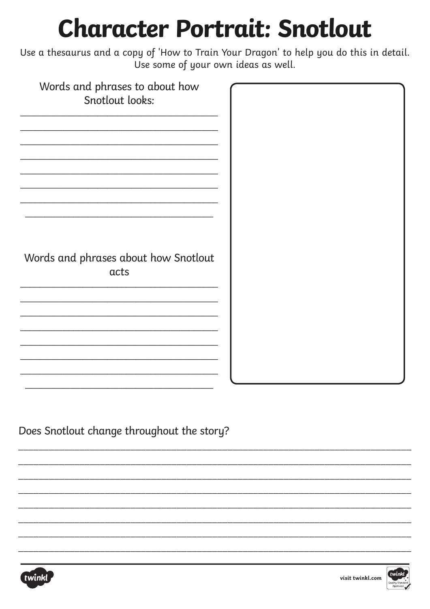## **Character Portrait: Snotlout**

Use a thesaurus and a copy of 'How to Train Your Dragon' to help you do this in detail. Use some of your own ideas as well.

| Words and phrases to about how       |  |
|--------------------------------------|--|
|                                      |  |
| Snotlout looks:                      |  |
|                                      |  |
|                                      |  |
|                                      |  |
|                                      |  |
|                                      |  |
|                                      |  |
|                                      |  |
|                                      |  |
|                                      |  |
|                                      |  |
|                                      |  |
|                                      |  |
|                                      |  |
|                                      |  |
|                                      |  |
|                                      |  |
| Words and phrases about how Snotlout |  |
|                                      |  |
| acts                                 |  |
|                                      |  |
|                                      |  |
|                                      |  |
|                                      |  |
|                                      |  |
|                                      |  |
|                                      |  |
|                                      |  |
|                                      |  |
|                                      |  |
|                                      |  |
|                                      |  |

Does Snotlout change throughout the story?



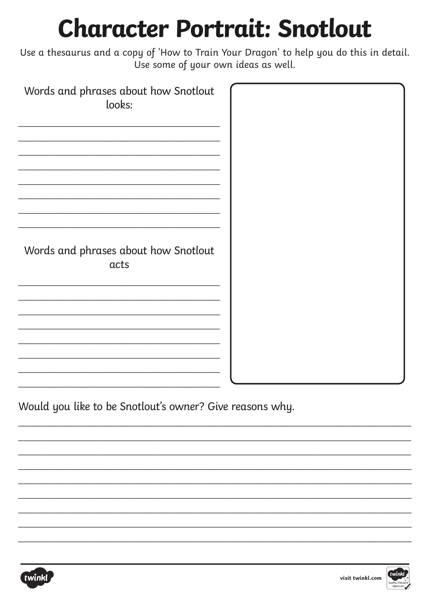## **Character Portrait: Snotlout**

Use a thesaurus and a copy of 'How to Train Your Dragon' to help you do this in detail. Use some of your own ideas as well.

| Words and phrases about how Snotlout<br>looks: |  |
|------------------------------------------------|--|
|                                                |  |
| Words and phrases about how Snotlout<br>acts   |  |
|                                                |  |
|                                                |  |

Would you like to be Snotlout's owner? Give reasons why.